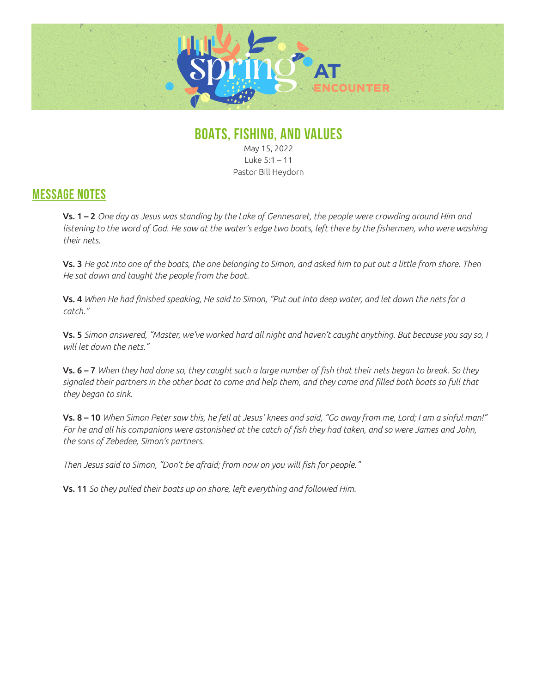

## **BOATS, FISHING, AND VALUES**

May 15, 2022 Luke 5:1 – 11 Pastor Bill Heydorn

## **MESSAGE NOTES**

Vs. 1 – 2 *One day as Jesus was standing by the Lake of Gennesaret, the people were crowding around Him and*  listening to the word of God. He saw at the water's edge two boats, left there by the fishermen, who were washing *their nets.*

Vs. 3 *He got into one of the boats, the one belonging to Simon, and asked him to put out a little from shore. Then He sat down and taught the people from the boat.* 

Vs. 4 *When He had finished speaking, He said to Simon, "Put out into deep water, and let down the nets for a catch."*

Vs. 5 *Simon answered, "Master, we've worked hard all night and haven't caught anything. But because you say so, I will let down the nets."*

Vs. 6 – 7 *When they had done so, they caught such a large number of fish that their nets began to break. So they signaled their partners in the other boat to come and help them, and they came and filled both boats so full that they began to sink.*

Vs. 8 – 10 *When Simon Peter saw this, he fell at Jesus' knees and said, "Go away from me, Lord; I am a sinful man!" For he and all his companions were astonished at the catch of fish they had taken, and so were James and John, the sons of Zebedee, Simon's partners.* 

*Then Jesus said to Simon, "Don't be afraid; from now on you will fish for people."*

Vs. 11 *So they pulled their boats up on shore, left everything and followed Him.*